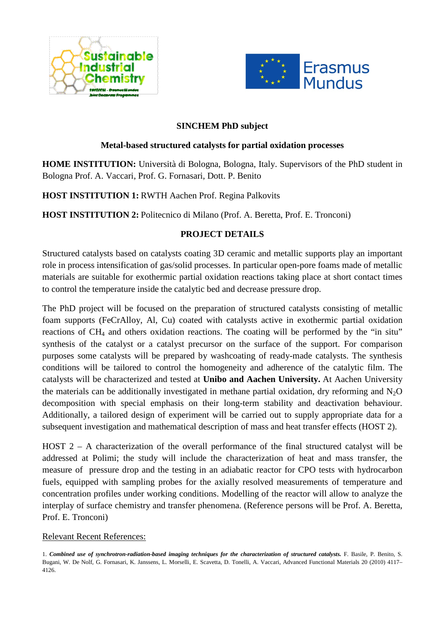



### **SINCHEM PhD subject**

### **Metal-based structured catalysts for partial oxidation processes**

**HOME INSTITUTION:** Università di Bologna, Bologna, Italy. Supervisors of the PhD student in Bologna Prof. A. Vaccari, Prof. G. Fornasari, Dott. P. Benito

# **HOST INSTITUTION 1:** RWTH Aachen Prof. Regina Palkovits

**HOST INSTITUTION 2:** Politecnico di Milano (Prof. A. Beretta, Prof. E. Tronconi)

# **PROJECT DETAILS**

Structured catalysts based on catalysts coating 3D ceramic and metallic supports play an important role in process intensification of gas/solid processes. In particular open-pore foams made of metallic materials are suitable for exothermic partial oxidation reactions taking place at short contact times to control the temperature inside the catalytic bed and decrease pressure drop.

The PhD project will be focused on the preparation of structured catalysts consisting of metallic foam supports (FeCrAlloy, Al, Cu) coated with catalysts active in exothermic partial oxidation reactions of CH<sub>4</sub> and others oxidation reactions. The coating will be performed by the "in situ" synthesis of the catalyst or a catalyst precursor on the surface of the support. For comparison purposes some catalysts will be prepared by washcoating of ready-made catalysts. The synthesis conditions will be tailored to control the homogeneity and adherence of the catalytic film. The catalysts will be characterized and tested at **Unibo and Aachen University.** At Aachen University the materials can be additionally investigated in methane partial oxidation, dry reforming and  $N_2O$ decomposition with special emphasis on their long-term stability and deactivation behaviour. Additionally, a tailored design of experiment will be carried out to supply appropriate data for a subsequent investigation and mathematical description of mass and heat transfer effects (HOST 2).

HOST 2 – A characterization of the overall performance of the final structured catalyst will be addressed at Polimi; the study will include the characterization of heat and mass transfer, the measure of pressure drop and the testing in an adiabatic reactor for CPO tests with hydrocarbon fuels, equipped with sampling probes for the axially resolved measurements of temperature and concentration profiles under working conditions. Modelling of the reactor will allow to analyze the interplay of surface chemistry and transfer phenomena. (Reference persons will be Prof. A. Beretta, Prof. E. Tronconi)

# Relevant Recent References:

<sup>1.</sup> *Combined use of synchrotron-radiation-based imaging techniques for the characterization of structured catalysts.* F. Basile, P. Benito, S. Bugani, W. De Nolf, G. Fornasari, K. Janssens, L. Morselli, E. Scavetta, D. Tonelli, A. Vaccari, Advanced Functional Materials 20 (2010) 4117– 4126.